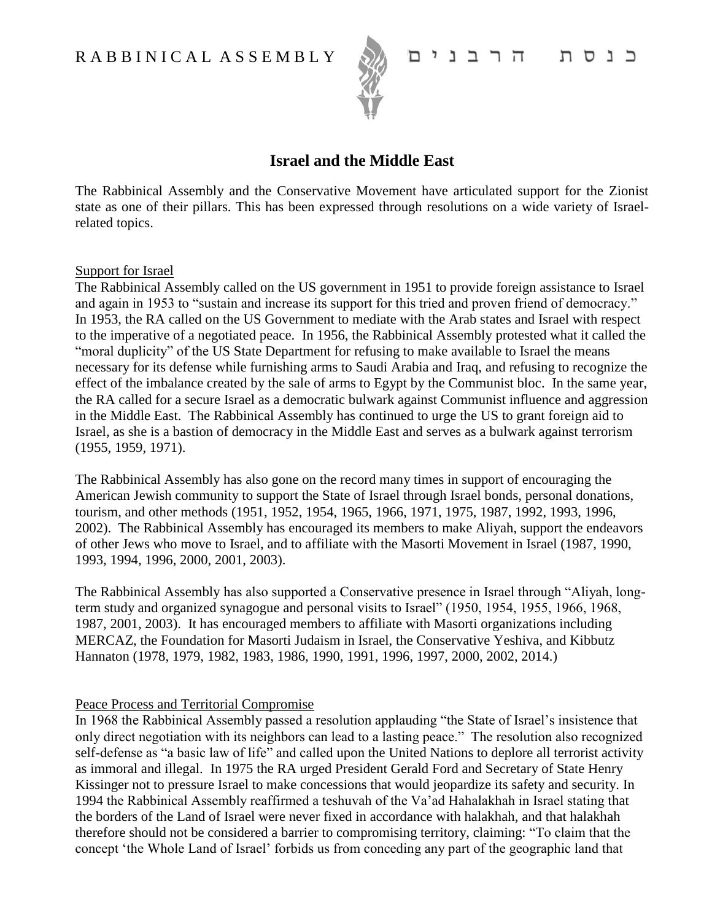

# כנסת הרבנים

# **Israel and the Middle East**

The Rabbinical Assembly and the Conservative Movement have articulated support for the Zionist state as one of their pillars. This has been expressed through resolutions on a wide variety of Israelrelated topics.

### Support for Israel

The Rabbinical Assembly called on the US government in 1951 to provide foreign assistance to Israel and again in 1953 to "sustain and increase its support for this tried and proven friend of democracy." In 1953, the RA called on the US Government to mediate with the Arab states and Israel with respect to the imperative of a negotiated peace. In 1956, the Rabbinical Assembly protested what it called the "moral duplicity" of the US State Department for refusing to make available to Israel the means necessary for its defense while furnishing arms to Saudi Arabia and Iraq, and refusing to recognize the effect of the imbalance created by the sale of arms to Egypt by the Communist bloc. In the same year, the RA called for a secure Israel as a democratic bulwark against Communist influence and aggression in the Middle East. The Rabbinical Assembly has continued to urge the US to grant foreign aid to Israel, as she is a bastion of democracy in the Middle East and serves as a bulwark against terrorism (1955, 1959, 1971).

The Rabbinical Assembly has also gone on the record many times in support of encouraging the American Jewish community to support the State of Israel through Israel bonds, personal donations, tourism, and other methods (1951, 1952, 1954, 1965, 1966, 1971, 1975, 1987, 1992, 1993, 1996, 2002). The Rabbinical Assembly has encouraged its members to make Aliyah, support the endeavors of other Jews who move to Israel, and to affiliate with the Masorti Movement in Israel (1987, 1990, 1993, 1994, 1996, 2000, 2001, 2003).

The Rabbinical Assembly has also supported a Conservative presence in Israel through "Aliyah, longterm study and organized synagogue and personal visits to Israel" (1950, 1954, 1955, 1966, 1968, 1987, 2001, 2003). It has encouraged members to affiliate with Masorti organizations including MERCAZ, the Foundation for Masorti Judaism in Israel, the Conservative Yeshiva, and Kibbutz Hannaton (1978, 1979, 1982, 1983, 1986, 1990, 1991, 1996, 1997, 2000, 2002, 2014.)

# Peace Process and Territorial Compromise

In 1968 the Rabbinical Assembly passed a resolution applauding "the State of Israel's insistence that only direct negotiation with its neighbors can lead to a lasting peace." The resolution also recognized self-defense as "a basic law of life" and called upon the United Nations to deplore all terrorist activity as immoral and illegal. In 1975 the RA urged President Gerald Ford and Secretary of State Henry Kissinger not to pressure Israel to make concessions that would jeopardize its safety and security. In 1994 the Rabbinical Assembly reaffirmed a teshuvah of the Va'ad Hahalakhah in Israel stating that the borders of the Land of Israel were never fixed in accordance with halakhah, and that halakhah therefore should not be considered a barrier to compromising territory, claiming: "To claim that the concept 'the Whole Land of Israel' forbids us from conceding any part of the geographic land that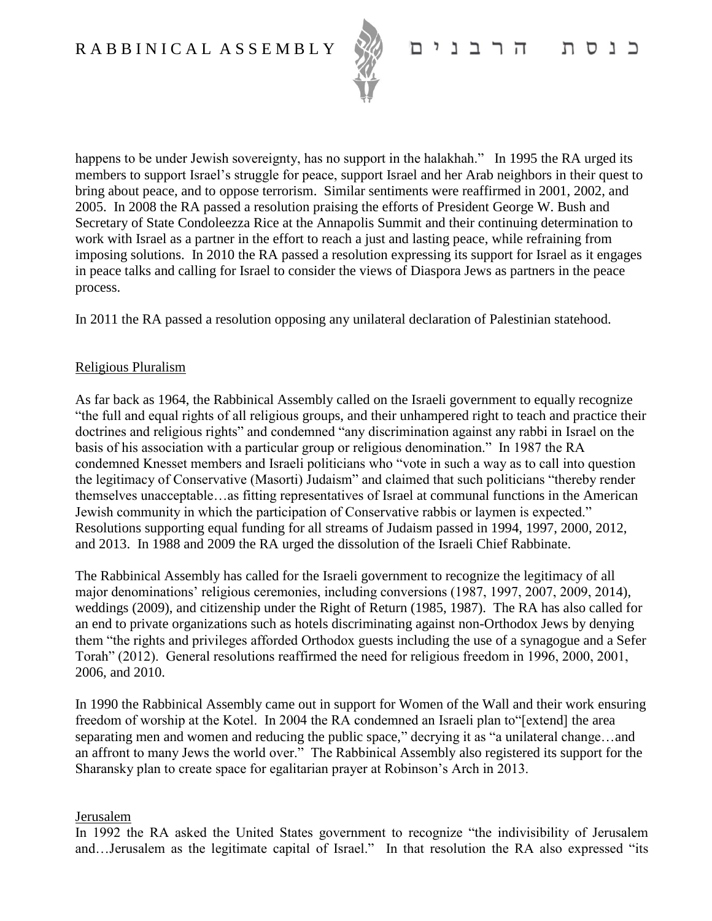

happens to be under Jewish sovereignty, has no support in the halakhah." In 1995 the RA urged its members to support Israel's struggle for peace, support Israel and her Arab neighbors in their quest to bring about peace, and to oppose terrorism. Similar sentiments were reaffirmed in 2001, 2002, and 2005. In 2008 the RA passed a resolution praising the efforts of President George W. Bush and Secretary of State Condoleezza Rice at the Annapolis Summit and their continuing determination to work with Israel as a partner in the effort to reach a just and lasting peace, while refraining from imposing solutions. In 2010 the RA passed a resolution expressing its support for Israel as it engages in peace talks and calling for Israel to consider the views of Diaspora Jews as partners in the peace process.

In 2011 the RA passed a resolution opposing any unilateral declaration of Palestinian statehood.

# Religious Pluralism

As far back as 1964, the Rabbinical Assembly called on the Israeli government to equally recognize "the full and equal rights of all religious groups, and their unhampered right to teach and practice their doctrines and religious rights" and condemned "any discrimination against any rabbi in Israel on the basis of his association with a particular group or religious denomination." In 1987 the RA condemned Knesset members and Israeli politicians who "vote in such a way as to call into question the legitimacy of Conservative (Masorti) Judaism" and claimed that such politicians "thereby render themselves unacceptable…as fitting representatives of Israel at communal functions in the American Jewish community in which the participation of Conservative rabbis or laymen is expected." Resolutions supporting equal funding for all streams of Judaism passed in 1994, 1997, 2000, 2012, and 2013. In 1988 and 2009 the RA urged the dissolution of the Israeli Chief Rabbinate.

The Rabbinical Assembly has called for the Israeli government to recognize the legitimacy of all major denominations' religious ceremonies, including conversions (1987, 1997, 2007, 2009, 2014), weddings (2009), and citizenship under the Right of Return (1985, 1987). The RA has also called for an end to private organizations such as hotels discriminating against non-Orthodox Jews by denying them "the rights and privileges afforded Orthodox guests including the use of a synagogue and a Sefer Torah" (2012). General resolutions reaffirmed the need for religious freedom in 1996, 2000, 2001, 2006, and 2010.

In 1990 the Rabbinical Assembly came out in support for Women of the Wall and their work ensuring freedom of worship at the Kotel. In 2004 the RA condemned an Israeli plan to"[extend] the area separating men and women and reducing the public space," decrying it as "a unilateral change...and an affront to many Jews the world over." The Rabbinical Assembly also registered its support for the Sharansky plan to create space for egalitarian prayer at Robinson's Arch in 2013.

# Jerusalem

In 1992 the RA asked the United States government to recognize "the indivisibility of Jerusalem and…Jerusalem as the legitimate capital of Israel." In that resolution the RA also expressed "its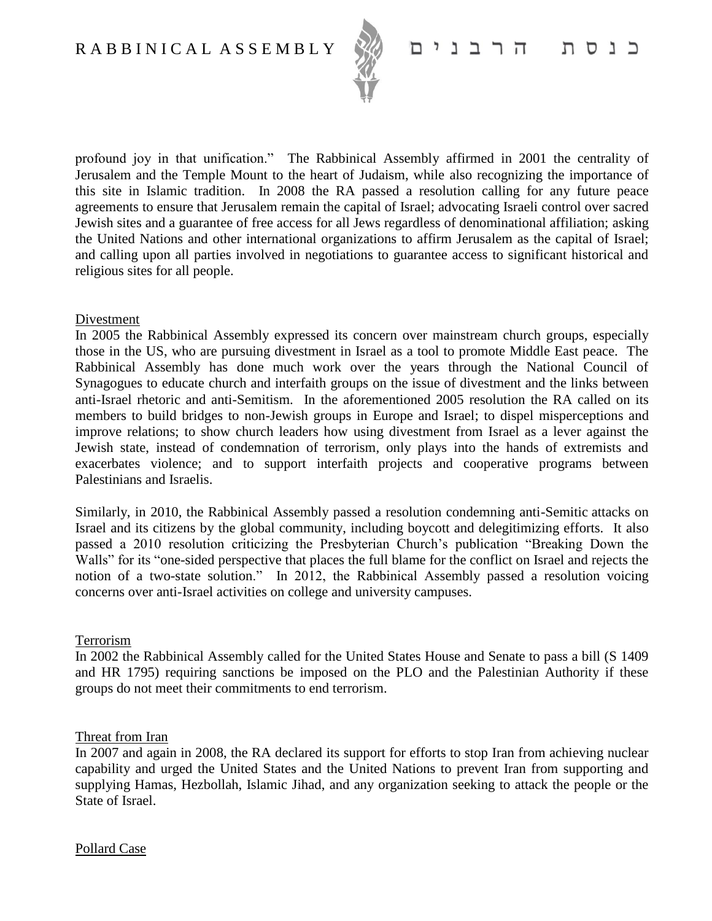

#### הרבנים כוסה

profound joy in that unification." The Rabbinical Assembly affirmed in 2001 the centrality of Jerusalem and the Temple Mount to the heart of Judaism, while also recognizing the importance of this site in Islamic tradition. In 2008 the RA passed a resolution calling for any future peace agreements to ensure that Jerusalem remain the capital of Israel; advocating Israeli control over sacred Jewish sites and a guarantee of free access for all Jews regardless of denominational affiliation; asking the United Nations and other international organizations to affirm Jerusalem as the capital of Israel; and calling upon all parties involved in negotiations to guarantee access to significant historical and religious sites for all people.

### Divestment

In 2005 the Rabbinical Assembly expressed its concern over mainstream church groups, especially those in the US, who are pursuing divestment in Israel as a tool to promote Middle East peace. The Rabbinical Assembly has done much work over the years through the National Council of Synagogues to educate church and interfaith groups on the issue of divestment and the links between anti-Israel rhetoric and anti-Semitism. In the aforementioned 2005 resolution the RA called on its members to build bridges to non-Jewish groups in Europe and Israel; to dispel misperceptions and improve relations; to show church leaders how using divestment from Israel as a lever against the Jewish state, instead of condemnation of terrorism, only plays into the hands of extremists and exacerbates violence; and to support interfaith projects and cooperative programs between Palestinians and Israelis.

Similarly, in 2010, the Rabbinical Assembly passed a resolution condemning anti-Semitic attacks on Israel and its citizens by the global community, including boycott and delegitimizing efforts. It also passed a 2010 resolution criticizing the Presbyterian Church's publication "Breaking Down the Walls" for its "one-sided perspective that places the full blame for the conflict on Israel and rejects the notion of a two-state solution." In 2012, the Rabbinical Assembly passed a resolution voicing concerns over anti-Israel activities on college and university campuses.

#### Terrorism

In 2002 the Rabbinical Assembly called for the United States House and Senate to pass a bill (S 1409 and HR 1795) requiring sanctions be imposed on the PLO and the Palestinian Authority if these groups do not meet their commitments to end terrorism.

#### Threat from Iran

In 2007 and again in 2008, the RA declared its support for efforts to stop Iran from achieving nuclear capability and urged the United States and the United Nations to prevent Iran from supporting and supplying Hamas, Hezbollah, Islamic Jihad, and any organization seeking to attack the people or the State of Israel.

Pollard Case